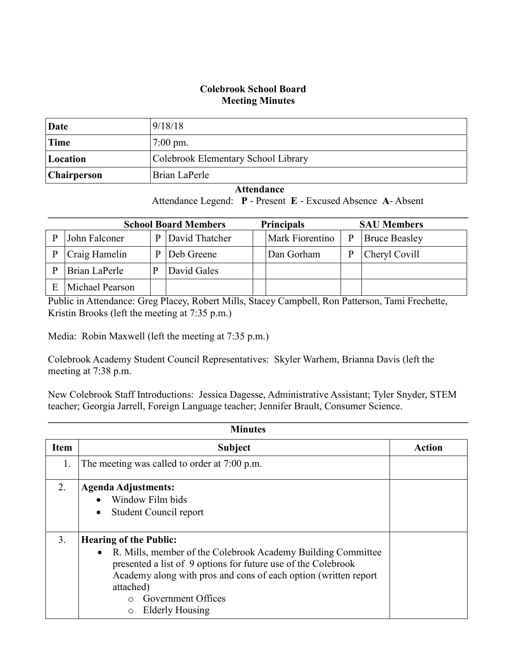## **Colebrook School Board Meeting Minutes**

| Date        | 9/18/18                             |
|-------------|-------------------------------------|
| Time        | $7:00 \text{ pm}$ .                 |
| Location    | Colebrook Elementary School Library |
| Chairperson | Brian LaPerle                       |

## **Attendance**

Attendance Legend: **P** - Present **E** - Excused Absence **A**- Absent

| <b>School Board Members</b> |                 | <b>Principals</b><br><b>SAU Members</b> |                |  |                        |   |                      |
|-----------------------------|-----------------|-----------------------------------------|----------------|--|------------------------|---|----------------------|
| P                           | John Falconer   | P                                       | David Thatcher |  | <b>Mark Fiorentino</b> | P | <b>Bruce Beasley</b> |
|                             | Craig Hamelin   | P                                       | Deb Greene     |  | Dan Gorham             | P | Cheryl Covill        |
|                             | Brian LaPerle   |                                         | David Gales    |  |                        |   |                      |
|                             | Michael Pearson |                                         |                |  |                        |   |                      |

Public in Attendance: Greg Placey, Robert Mills, Stacey Campbell, Ron Patterson, Tami Frechette, Kristin Brooks (left the meeting at 7:35 p.m.)

Media: Robin Maxwell (left the meeting at 7:35 p.m.)

Colebrook Academy Student Council Representatives: Skyler Warhem, Brianna Davis (left the meeting at 7:38 p.m.

New Colebrook Staff Introductions: Jessica Dagesse, Administrative Assistant; Tyler Snyder, STEM teacher; Georgia Jarrell, Foreign Language teacher; Jennifer Brault, Consumer Science.

| <b>Minutes</b> |                                                                                                                                                                                                                                                                                                                            |        |  |
|----------------|----------------------------------------------------------------------------------------------------------------------------------------------------------------------------------------------------------------------------------------------------------------------------------------------------------------------------|--------|--|
| <b>Item</b>    | <b>Subject</b>                                                                                                                                                                                                                                                                                                             | Action |  |
| 1.             | The meeting was called to order at 7:00 p.m.                                                                                                                                                                                                                                                                               |        |  |
| 2.             | <b>Agenda Adjustments:</b><br>• Window Film bids<br><b>Student Council report</b><br>$\bullet$                                                                                                                                                                                                                             |        |  |
| 3.             | <b>Hearing of the Public:</b><br>R. Mills, member of the Colebrook Academy Building Committee<br>$\bullet$<br>presented a list of 9 options for future use of the Colebrook<br>Academy along with pros and cons of each option (written report)<br>attached)<br>Government Offices<br>$\cap$<br>Elderly Housing<br>$\circ$ |        |  |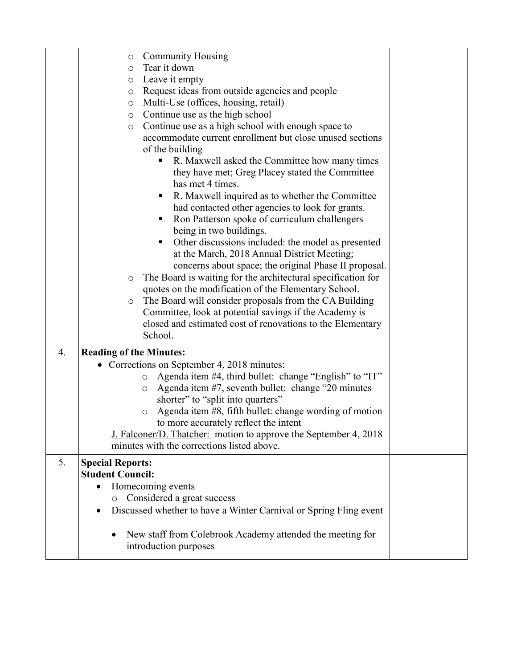|                  | <b>Community Housing</b><br>O<br>Tear it down<br>$\circ$<br>Leave it empty<br>O<br>Request ideas from outside agencies and people<br>$\circ$<br>Multi-Use (offices, housing, retail)<br>$\circ$<br>Continue use as the high school<br>$\circ$<br>Continue use as a high school with enough space to<br>$\circ$<br>accommodate current enrollment but close unused sections<br>of the building<br>R. Maxwell asked the Committee how many times<br>п<br>they have met; Greg Placey stated the Committee<br>has met 4 times.<br>R. Maxwell inquired as to whether the Committee<br>٠<br>had contacted other agencies to look for grants.<br>Ron Patterson spoke of curriculum challengers<br>ш<br>being in two buildings.<br>Other discussions included: the model as presented<br>Ξ<br>at the March, 2018 Annual District Meeting;<br>concerns about space; the original Phase II proposal.<br>The Board is waiting for the architectural specification for<br>$\circ$<br>quotes on the modification of the Elementary School.<br>The Board will consider proposals from the CA Building<br>$\circ$ |  |
|------------------|----------------------------------------------------------------------------------------------------------------------------------------------------------------------------------------------------------------------------------------------------------------------------------------------------------------------------------------------------------------------------------------------------------------------------------------------------------------------------------------------------------------------------------------------------------------------------------------------------------------------------------------------------------------------------------------------------------------------------------------------------------------------------------------------------------------------------------------------------------------------------------------------------------------------------------------------------------------------------------------------------------------------------------------------------------------------------------------------------|--|
|                  | Committee, look at potential savings if the Academy is<br>closed and estimated cost of renovations to the Elementary<br>School.                                                                                                                                                                                                                                                                                                                                                                                                                                                                                                                                                                                                                                                                                                                                                                                                                                                                                                                                                                    |  |
| $\overline{4}$ . | <b>Reading of the Minutes:</b><br>• Corrections on September 4, 2018 minutes:<br>Agenda item #4, third bullet: change "English" to "IT"<br>$\circ$<br>Agenda item #7, seventh bullet: change "20 minutes"<br>$\circ$<br>shorter" to "split into quarters"<br>Agenda item #8, fifth bullet: change wording of motion<br>$\circ$<br>to more accurately reflect the intent<br>J. Falconer/D. Thatcher: motion to approve the September 4, 2018<br>minutes with the corrections listed above.                                                                                                                                                                                                                                                                                                                                                                                                                                                                                                                                                                                                          |  |
| 5.               | <b>Special Reports:</b><br><b>Student Council:</b><br>Homecoming events<br>Considered a great success<br>$\circ$<br>Discussed whether to have a Winter Carnival or Spring Fling event<br>$\bullet$<br>New staff from Colebrook Academy attended the meeting for<br>introduction purposes                                                                                                                                                                                                                                                                                                                                                                                                                                                                                                                                                                                                                                                                                                                                                                                                           |  |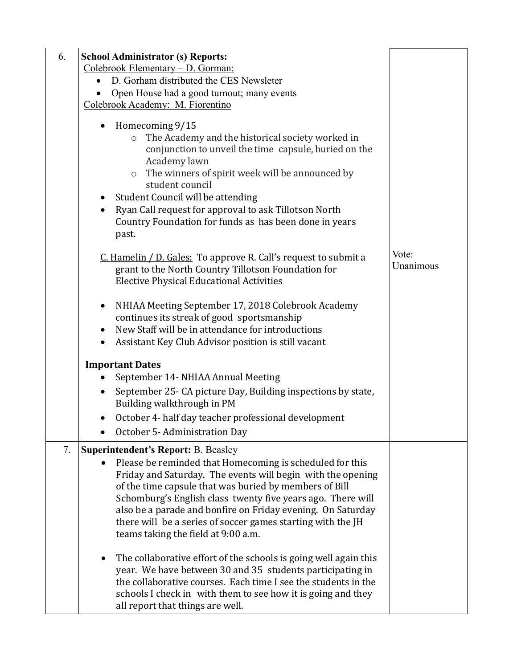| 6. | <b>School Administrator (s) Reports:</b><br>Colebrook Elementary - D. Gorman:<br>D. Gorham distributed the CES Newsleter<br>Open House had a good turnout; many events<br>Colebrook Academy: M. Fiorentino                                                                                                                                                                                                                                                   |                    |
|----|--------------------------------------------------------------------------------------------------------------------------------------------------------------------------------------------------------------------------------------------------------------------------------------------------------------------------------------------------------------------------------------------------------------------------------------------------------------|--------------------|
|    | Homecoming 9/15<br>The Academy and the historical society worked in<br>$\circ$<br>conjunction to unveil the time capsule, buried on the<br>Academy lawn<br>The winners of spirit week will be announced by<br>$\circ$<br>student council<br>Student Council will be attending<br>$\bullet$<br>Ryan Call request for approval to ask Tillotson North<br>$\bullet$<br>Country Foundation for funds as has been done in years<br>past.                          |                    |
|    | C. Hamelin / D. Gales: To approve R. Call's request to submit a<br>grant to the North Country Tillotson Foundation for<br><b>Elective Physical Educational Activities</b>                                                                                                                                                                                                                                                                                    | Vote:<br>Unanimous |
|    | NHIAA Meeting September 17, 2018 Colebrook Academy<br>$\bullet$<br>continues its streak of good sportsmanship<br>New Staff will be in attendance for introductions<br>$\bullet$<br>Assistant Key Club Advisor position is still vacant<br>$\bullet$                                                                                                                                                                                                          |                    |
|    | <b>Important Dates</b>                                                                                                                                                                                                                                                                                                                                                                                                                                       |                    |
|    | September 14- NHIAA Annual Meeting<br>$\bullet$                                                                                                                                                                                                                                                                                                                                                                                                              |                    |
|    | September 25- CA picture Day, Building inspections by state,<br>$\bullet$<br>Building walkthrough in PM                                                                                                                                                                                                                                                                                                                                                      |                    |
|    | October 4- half day teacher professional development<br>$\bullet$                                                                                                                                                                                                                                                                                                                                                                                            |                    |
|    | October 5-Administration Day                                                                                                                                                                                                                                                                                                                                                                                                                                 |                    |
| 7. | Superintendent's Report: B. Beasley<br>Please be reminded that Homecoming is scheduled for this<br>Friday and Saturday. The events will begin with the opening<br>of the time capsule that was buried by members of Bill<br>Schomburg's English class twenty five years ago. There will<br>also be a parade and bonfire on Friday evening. On Saturday<br>there will be a series of soccer games starting with the JH<br>teams taking the field at 9:00 a.m. |                    |
|    | The collaborative effort of the schools is going well again this<br>year. We have between 30 and 35 students participating in<br>the collaborative courses. Each time I see the students in the<br>schools I check in with them to see how it is going and they<br>all report that things are well.                                                                                                                                                          |                    |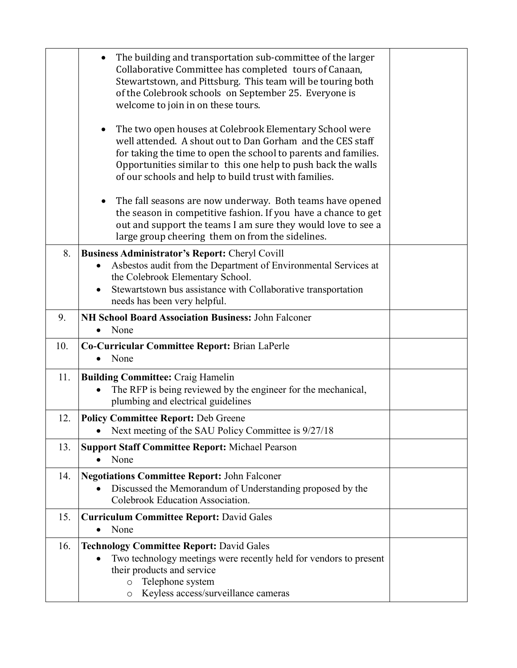|     | The building and transportation sub-committee of the larger<br>٠<br>Collaborative Committee has completed tours of Canaan,<br>Stewartstown, and Pittsburg. This team will be touring both<br>of the Colebrook schools on September 25. Everyone is<br>welcome to join in on these tours.                                        |  |
|-----|---------------------------------------------------------------------------------------------------------------------------------------------------------------------------------------------------------------------------------------------------------------------------------------------------------------------------------|--|
|     | The two open houses at Colebrook Elementary School were<br>$\bullet$<br>well attended. A shout out to Dan Gorham and the CES staff<br>for taking the time to open the school to parents and families.<br>Opportunities similar to this one help to push back the walls<br>of our schools and help to build trust with families. |  |
|     | The fall seasons are now underway. Both teams have opened<br>$\bullet$<br>the season in competitive fashion. If you have a chance to get<br>out and support the teams I am sure they would love to see a<br>large group cheering them on from the sidelines.                                                                    |  |
| 8.  | <b>Business Administrator's Report: Cheryl Covill</b>                                                                                                                                                                                                                                                                           |  |
|     | Asbestos audit from the Department of Environmental Services at                                                                                                                                                                                                                                                                 |  |
|     | the Colebrook Elementary School.                                                                                                                                                                                                                                                                                                |  |
|     | Stewartstown bus assistance with Collaborative transportation<br>$\bullet$<br>needs has been very helpful.                                                                                                                                                                                                                      |  |
| 9.  | NH School Board Association Business: John Falconer                                                                                                                                                                                                                                                                             |  |
|     | None                                                                                                                                                                                                                                                                                                                            |  |
| 10. | Co-Curricular Committee Report: Brian LaPerle                                                                                                                                                                                                                                                                                   |  |
|     | None<br>$\bullet$                                                                                                                                                                                                                                                                                                               |  |
| 11. | <b>Building Committee: Craig Hamelin</b><br>The RFP is being reviewed by the engineer for the mechanical,<br>plumbing and electrical guidelines                                                                                                                                                                                 |  |
| 12. | <b>Policy Committee Report: Deb Greene</b><br>Next meeting of the SAU Policy Committee is 9/27/18                                                                                                                                                                                                                               |  |
| 13. | <b>Support Staff Committee Report: Michael Pearson</b><br>None                                                                                                                                                                                                                                                                  |  |
| 14. | <b>Negotiations Committee Report: John Falconer</b><br>Discussed the Memorandum of Understanding proposed by the<br>Colebrook Education Association.                                                                                                                                                                            |  |
| 15. | <b>Curriculum Committee Report: David Gales</b><br>None<br>$\bullet$                                                                                                                                                                                                                                                            |  |
| 16. | <b>Technology Committee Report: David Gales</b><br>Two technology meetings were recently held for vendors to present<br>their products and service<br>Telephone system<br>$\circ$<br>Keyless access/surveillance cameras<br>O                                                                                                   |  |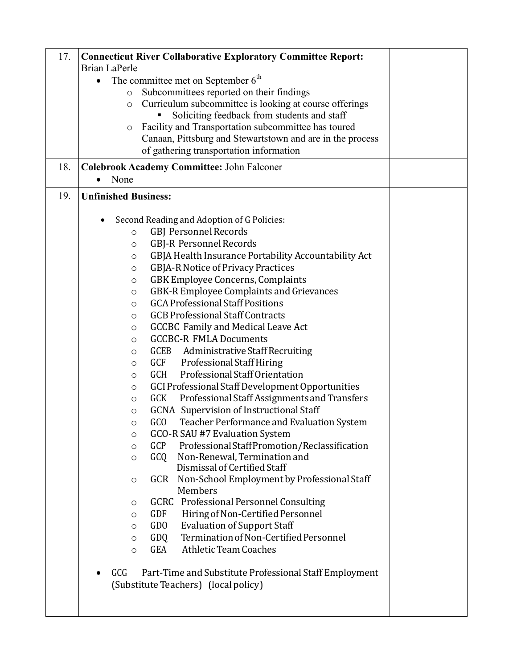| 17. | <b>Connecticut River Collaborative Exploratory Committee Report:</b><br>Brian LaPerle                 |  |
|-----|-------------------------------------------------------------------------------------------------------|--|
|     | The committee met on September $6th$<br>$\bullet$                                                     |  |
|     | Subcommittees reported on their findings<br>$\circ$                                                   |  |
|     | Curriculum subcommittee is looking at course offerings<br>O                                           |  |
|     | Soliciting feedback from students and staff                                                           |  |
|     | Facility and Transportation subcommittee has toured<br>O                                              |  |
|     | Canaan, Pittsburg and Stewartstown and are in the process                                             |  |
|     | of gathering transportation information                                                               |  |
| 18. | <b>Colebrook Academy Committee: John Falconer</b>                                                     |  |
|     | None                                                                                                  |  |
| 19. | <b>Unfinished Business:</b>                                                                           |  |
|     | Second Reading and Adoption of G Policies:                                                            |  |
|     | <b>GBJ Personnel Records</b><br>$\circ$                                                               |  |
|     | <b>GBJ-R Personnel Records</b><br>$\circ$                                                             |  |
|     | GBJA Health Insurance Portability Accountability Act<br>$\circ$                                       |  |
|     | GBJA-R Notice of Privacy Practices<br>$\circ$                                                         |  |
|     | GBK Employee Concerns, Complaints<br>$\circ$                                                          |  |
|     | GBK-R Employee Complaints and Grievances<br>$\circ$                                                   |  |
|     | <b>GCA Professional Staff Positions</b><br>$\circ$                                                    |  |
|     | <b>GCB Professional Staff Contracts</b><br>O                                                          |  |
|     | <b>GCCBC</b> Family and Medical Leave Act<br>$\circ$                                                  |  |
|     | <b>GCCBC-R FMLA Documents</b><br>$\circ$                                                              |  |
|     | GCEB Administrative Staff Recruiting<br>O                                                             |  |
|     | Professional Staff Hiring<br>GCF<br>$\circ$                                                           |  |
|     | Professional Staff Orientation<br>GCH<br>$\circ$                                                      |  |
|     | GCI Professional Staff Development Opportunities<br>$\circ$                                           |  |
|     | <b>GCK</b><br>Professional Staff Assignments and Transfers<br>$\circ$                                 |  |
|     | <b>GCNA</b> Supervision of Instructional Staff<br>$\circ$                                             |  |
|     | GC <sub>O</sub><br>Teacher Performance and Evaluation System<br>O                                     |  |
|     | GCO-R SAU #7 Evaluation System<br>$\circ$                                                             |  |
|     | Professional Staff Promotion/Reclassification<br>GCP<br>$\circ$                                       |  |
|     | Non-Renewal, Termination and<br>GCQ<br>$\circ$                                                        |  |
|     | Dismissal of Certified Staff                                                                          |  |
|     | Non-School Employment by Professional Staff<br>GCR<br>O<br>Members                                    |  |
|     | <b>GCRC</b> Professional Personnel Consulting<br>O                                                    |  |
|     | <b>GDF</b><br>Hiring of Non-Certified Personnel<br>$\circ$                                            |  |
|     | <b>GDO</b><br><b>Evaluation of Support Staff</b><br>$\circ$                                           |  |
|     | Termination of Non-Certified Personnel<br>GDQ<br>$\circ$                                              |  |
|     | <b>Athletic Team Coaches</b><br>GEA<br>$\circ$                                                        |  |
|     | GCG<br>Part-Time and Substitute Professional Staff Employment<br>(Substitute Teachers) (local policy) |  |